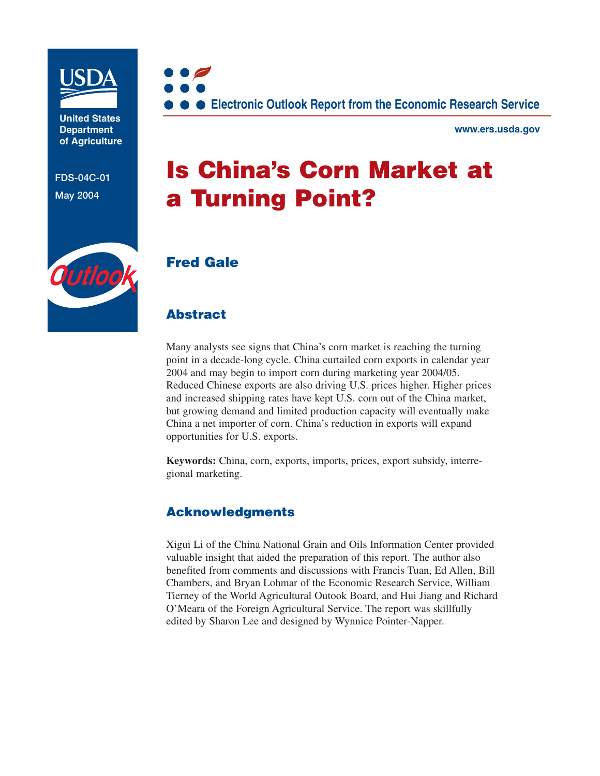

**United States Department of Agriculture**

**FDS-04C-01 May 2004**



**www.ers.usda.gov**

# **Is China's Corn Market at a Turning Point?**



## **Fred Gale**

## **Abstract**

Many analysts see signs that China's corn market is reaching the turning point in a decade-long cycle. China curtailed corn exports in calendar year 2004 and may begin to import corn during marketing year 2004/05. Reduced Chinese exports are also driving U.S. prices higher. Higher prices and increased shipping rates have kept U.S. corn out of the China market, but growing demand and limited production capacity will eventually make China a net importer of corn. China's reduction in exports will expand opportunities for U.S. exports.

**Keywords:** China, corn, exports, imports, prices, export subsidy, interregional marketing.

## **Acknowledgments**

Xigui Li of the China National Grain and Oils Information Center provided valuable insight that aided the preparation of this report. The author also benefited from comments and discussions with Francis Tuan, Ed Allen, Bill Chambers, and Bryan Lohmar of the Economic Research Service, William Tierney of the World Agricultural Outook Board, and Hui Jiang and Richard O'Meara of the Foreign Agricultural Service. The report was skillfully edited by Sharon Lee and designed by Wynnice Pointer-Napper.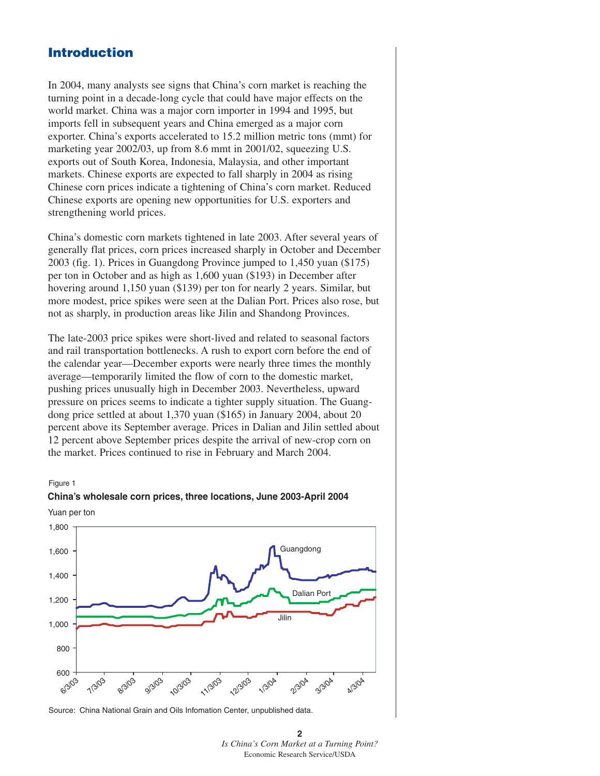## **Introduction**

In 2004, many analysts see signs that China's corn market is reaching the turning point in a decade-long cycle that could have major effects on the world market. China was a major corn importer in 1994 and 1995, but imports fell in subsequent years and China emerged as a major corn exporter. China's exports accelerated to 15.2 million metric tons (mmt) for marketing year 2002/03, up from 8.6 mmt in 2001/02, squeezing U.S. exports out of South Korea, Indonesia, Malaysia, and other important markets. Chinese exports are expected to fall sharply in 2004 as rising Chinese corn prices indicate a tightening of China's corn market. Reduced Chinese exports are opening new opportunities for U.S. exporters and strengthening world prices.

China's domestic corn markets tightened in late 2003. After several years of generally flat prices, corn prices increased sharply in October and December 2003 (fig. 1). Prices in Guangdong Province jumped to 1,450 yuan (\$175) per ton in October and as high as 1,600 yuan (\$193) in December after hovering around 1,150 yuan (\$139) per ton for nearly 2 years. Similar, but more modest, price spikes were seen at the Dalian Port. Prices also rose, but not as sharply, in production areas like Jilin and Shandong Provinces.

The late-2003 price spikes were short-lived and related to seasonal factors and rail transportation bottlenecks. A rush to export corn before the end of the calendar year—December exports were nearly three times the monthly average—temporarily limited the flow of corn to the domestic market, pushing prices unusually high in December 2003. Nevertheless, upward pressure on prices seems to indicate a tighter supply situation. The Guangdong price settled at about 1,370 yuan (\$165) in January 2004, about 20 percent above its September average. Prices in Dalian and Jilin settled about 12 percent above September prices despite the arrival of new-crop corn on the market. Prices continued to rise in February and March 2004.

#### Figure 1



## **China's wholesale corn prices, three locations, June 2003-April 2004**

Source: China National Grain and Oils Infomation Center, unpublished data.

**<sup>2</sup>** *Is China's Corn Market at a Turning Point?* Economic Research Service/USDA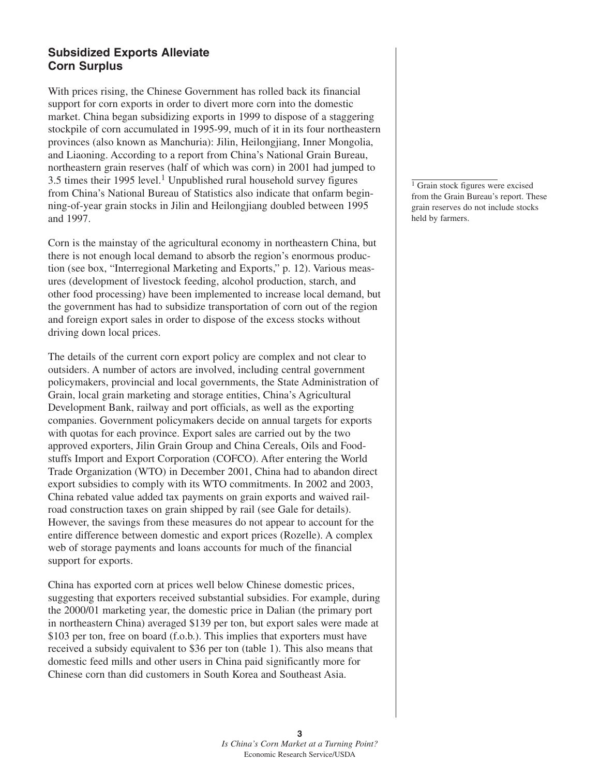## **Subsidized Exports Alleviate Corn Surplus**

With prices rising, the Chinese Government has rolled back its financial support for corn exports in order to divert more corn into the domestic market. China began subsidizing exports in 1999 to dispose of a staggering stockpile of corn accumulated in 1995-99, much of it in its four northeastern provinces (also known as Manchuria): Jilin, Heilongjiang, Inner Mongolia, and Liaoning. According to a report from China's National Grain Bureau, northeastern grain reserves (half of which was corn) in 2001 had jumped to  $3.5$  times their 1995 level.<sup>1</sup> Unpublished rural household survey figures from China's National Bureau of Statistics also indicate that onfarm beginning-of-year grain stocks in Jilin and Heilongjiang doubled between 1995 and 1997.

Corn is the mainstay of the agricultural economy in northeastern China, but there is not enough local demand to absorb the region's enormous production (see box, "Interregional Marketing and Exports," p. 12). Various measures (development of livestock feeding, alcohol production, starch, and other food processing) have been implemented to increase local demand, but the government has had to subsidize transportation of corn out of the region and foreign export sales in order to dispose of the excess stocks without driving down local prices.

The details of the current corn export policy are complex and not clear to outsiders. A number of actors are involved, including central government policymakers, provincial and local governments, the State Administration of Grain, local grain marketing and storage entities, China's Agricultural Development Bank, railway and port officials, as well as the exporting companies. Government policymakers decide on annual targets for exports with quotas for each province. Export sales are carried out by the two approved exporters, Jilin Grain Group and China Cereals, Oils and Foodstuffs Import and Export Corporation (COFCO). After entering the World Trade Organization (WTO) in December 2001, China had to abandon direct export subsidies to comply with its WTO commitments. In 2002 and 2003, China rebated value added tax payments on grain exports and waived railroad construction taxes on grain shipped by rail (see Gale for details). However, the savings from these measures do not appear to account for the entire difference between domestic and export prices (Rozelle). A complex web of storage payments and loans accounts for much of the financial support for exports.

China has exported corn at prices well below Chinese domestic prices, suggesting that exporters received substantial subsidies. For example, during the 2000/01 marketing year, the domestic price in Dalian (the primary port in northeastern China) averaged \$139 per ton, but export sales were made at \$103 per ton, free on board (f.o.b.). This implies that exporters must have received a subsidy equivalent to \$36 per ton (table 1). This also means that domestic feed mills and other users in China paid significantly more for Chinese corn than did customers in South Korea and Southeast Asia.

<sup>1</sup> Grain stock figures were excised from the Grain Bureau's report. These grain reserves do not include stocks held by farmers.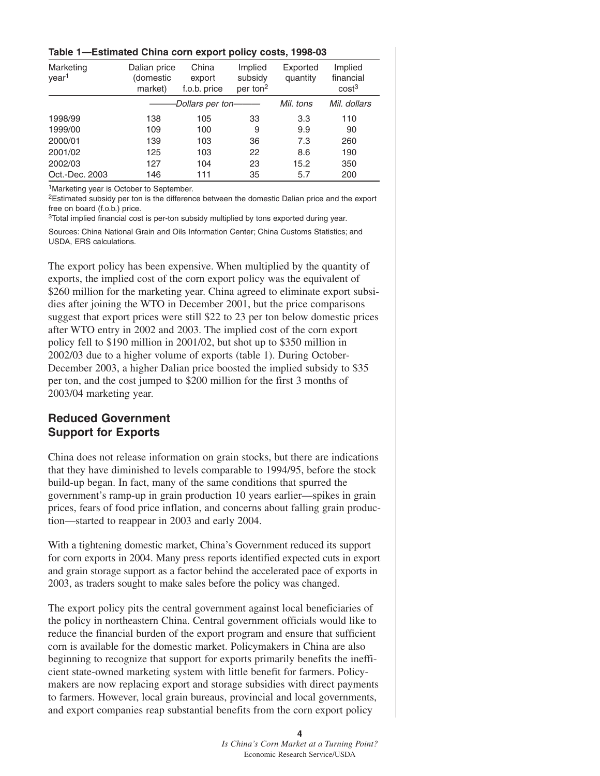#### **Table 1—Estimated China corn export policy costs, 1998-03**

| Marketing<br>year <sup>1</sup> | Dalian price<br>(domestic<br>market) | China<br>export<br>f.o.b. price | Implied<br>subsidy<br>per ton <sup>2</sup> | Exported<br>quantity | Implied<br>financial<br>cost <sup>3</sup> |
|--------------------------------|--------------------------------------|---------------------------------|--------------------------------------------|----------------------|-------------------------------------------|
|                                | Dollars per ton-                     |                                 |                                            | Mil. tons            | Mil. dollars                              |
| 1998/99                        | 138                                  | 105                             | 33                                         | 3.3                  | 110                                       |
| 1999/00                        | 109                                  | 100                             | 9                                          | 9.9                  | 90                                        |
| 2000/01                        | 139                                  | 103                             | 36                                         | 7.3                  | 260                                       |
| 2001/02                        | 125                                  | 103                             | 22                                         | 8.6                  | 190                                       |
| 2002/03                        | 127                                  | 104                             | 23                                         | 15.2                 | 350                                       |
| Oct.-Dec. 2003                 | 146                                  | 111                             | 35                                         | 5.7                  | 200                                       |

1Marketing year is October to September.

<sup>2</sup>Estimated subsidy per ton is the difference between the domestic Dalian price and the export free on board (f.o.b.) price.

<sup>3</sup>Total implied financial cost is per-ton subsidy multiplied by tons exported during year.

Sources: China National Grain and Oils Information Center; China Customs Statistics; and USDA, ERS calculations.

The export policy has been expensive. When multiplied by the quantity of exports, the implied cost of the corn export policy was the equivalent of \$260 million for the marketing year. China agreed to eliminate export subsidies after joining the WTO in December 2001, but the price comparisons suggest that export prices were still \$22 to 23 per ton below domestic prices after WTO entry in 2002 and 2003. The implied cost of the corn export policy fell to \$190 million in 2001/02, but shot up to \$350 million in 2002/03 due to a higher volume of exports (table 1). During October-December 2003, a higher Dalian price boosted the implied subsidy to \$35 per ton, and the cost jumped to \$200 million for the first 3 months of 2003/04 marketing year.

## **Reduced Government Support for Exports**

China does not release information on grain stocks, but there are indications that they have diminished to levels comparable to 1994/95, before the stock build-up began. In fact, many of the same conditions that spurred the government's ramp-up in grain production 10 years earlier—spikes in grain prices, fears of food price inflation, and concerns about falling grain production—started to reappear in 2003 and early 2004.

With a tightening domestic market, China's Government reduced its support for corn exports in 2004. Many press reports identified expected cuts in export and grain storage support as a factor behind the accelerated pace of exports in 2003, as traders sought to make sales before the policy was changed.

The export policy pits the central government against local beneficiaries of the policy in northeastern China. Central government officials would like to reduce the financial burden of the export program and ensure that sufficient corn is available for the domestic market. Policymakers in China are also beginning to recognize that support for exports primarily benefits the inefficient state-owned marketing system with little benefit for farmers. Policymakers are now replacing export and storage subsidies with direct payments to farmers. However, local grain bureaus, provincial and local governments, and export companies reap substantial benefits from the corn export policy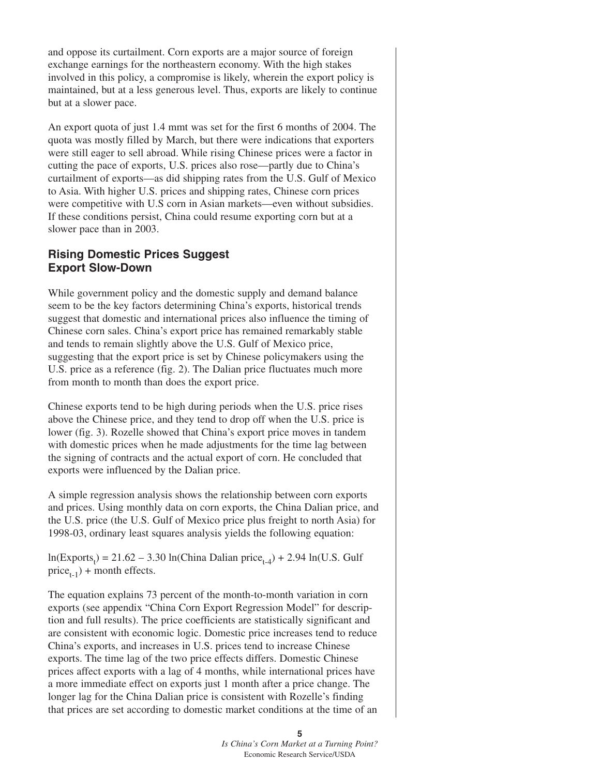and oppose its curtailment. Corn exports are a major source of foreign exchange earnings for the northeastern economy. With the high stakes involved in this policy, a compromise is likely, wherein the export policy is maintained, but at a less generous level. Thus, exports are likely to continue but at a slower pace.

An export quota of just 1.4 mmt was set for the first 6 months of 2004. The quota was mostly filled by March, but there were indications that exporters were still eager to sell abroad. While rising Chinese prices were a factor in cutting the pace of exports, U.S. prices also rose—partly due to China's curtailment of exports—as did shipping rates from the U.S. Gulf of Mexico to Asia. With higher U.S. prices and shipping rates, Chinese corn prices were competitive with U.S corn in Asian markets—even without subsidies. If these conditions persist, China could resume exporting corn but at a slower pace than in 2003.

## **Rising Domestic Prices Suggest Export Slow-Down**

While government policy and the domestic supply and demand balance seem to be the key factors determining China's exports, historical trends suggest that domestic and international prices also influence the timing of Chinese corn sales. China's export price has remained remarkably stable and tends to remain slightly above the U.S. Gulf of Mexico price, suggesting that the export price is set by Chinese policymakers using the U.S. price as a reference (fig. 2). The Dalian price fluctuates much more from month to month than does the export price.

Chinese exports tend to be high during periods when the U.S. price rises above the Chinese price, and they tend to drop off when the U.S. price is lower (fig. 3). Rozelle showed that China's export price moves in tandem with domestic prices when he made adjustments for the time lag between the signing of contracts and the actual export of corn. He concluded that exports were influenced by the Dalian price.

A simple regression analysis shows the relationship between corn exports and prices. Using monthly data on corn exports, the China Dalian price, and the U.S. price (the U.S. Gulf of Mexico price plus freight to north Asia) for 1998-03, ordinary least squares analysis yields the following equation:

 $ln(Express<sub>t</sub>) = 21.62 - 3.30 ln(China Dalian price<sub>t-4</sub>) + 2.94 ln(U.S. Gulf)$  $price_{t-1}$ ) + month effects.

The equation explains 73 percent of the month-to-month variation in corn exports (see appendix "China Corn Export Regression Model" for description and full results). The price coefficients are statistically significant and are consistent with economic logic. Domestic price increases tend to reduce China's exports, and increases in U.S. prices tend to increase Chinese exports. The time lag of the two price effects differs. Domestic Chinese prices affect exports with a lag of 4 months, while international prices have a more immediate effect on exports just 1 month after a price change. The longer lag for the China Dalian price is consistent with Rozelle's finding that prices are set according to domestic market conditions at the time of an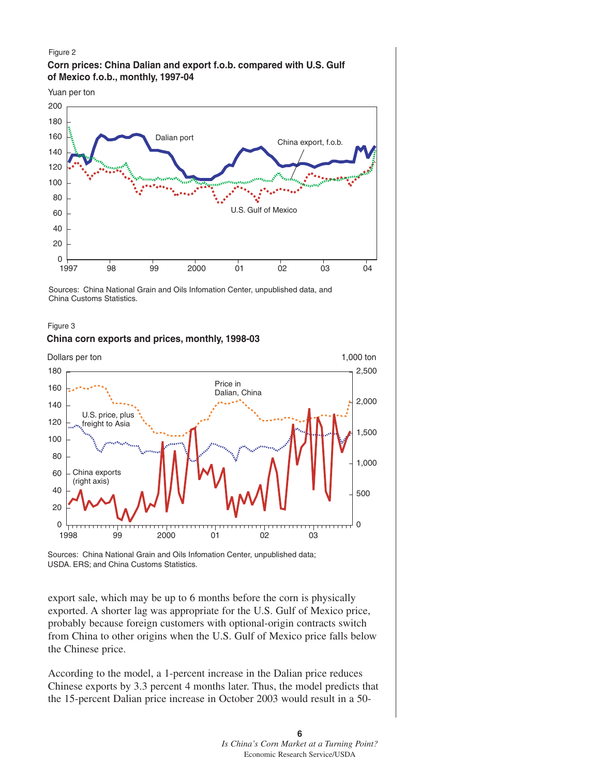#### Figure 2 **Corn prices: China Dalian and export f.o.b. compared with U.S. Gulf of Mexico f.o.b., monthly, 1997-04**





Sources: China National Grain and Oils Infomation Center, unpublished data, and China Customs Statistics.

#### Figure 3

#### **China corn exports and prices, monthly, 1998-03**



Sources: China National Grain and Oils Infomation Center, unpublished data; USDA. ERS; and China Customs Statistics.

export sale, which may be up to 6 months before the corn is physically exported. A shorter lag was appropriate for the U.S. Gulf of Mexico price, probably because foreign customers with optional-origin contracts switch from China to other origins when the U.S. Gulf of Mexico price falls below the Chinese price.

According to the model, a 1-percent increase in the Dalian price reduces Chinese exports by 3.3 percent 4 months later. Thus, the model predicts that the 15-percent Dalian price increase in October 2003 would result in a 50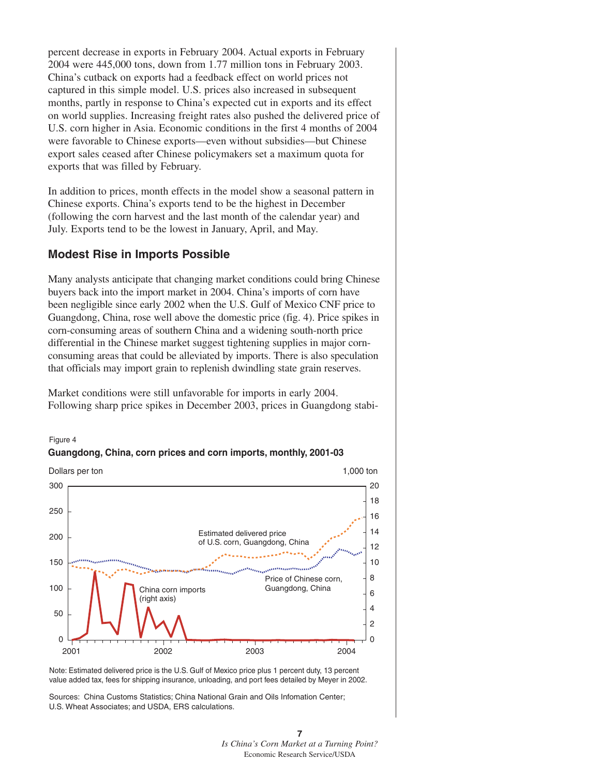percent decrease in exports in February 2004. Actual exports in February 2004 were 445,000 tons, down from 1.77 million tons in February 2003. China's cutback on exports had a feedback effect on world prices not captured in this simple model. U.S. prices also increased in subsequent months, partly in response to China's expected cut in exports and its effect on world supplies. Increasing freight rates also pushed the delivered price of U.S. corn higher in Asia. Economic conditions in the first 4 months of 2004 were favorable to Chinese exports—even without subsidies—but Chinese export sales ceased after Chinese policymakers set a maximum quota for exports that was filled by February.

In addition to prices, month effects in the model show a seasonal pattern in Chinese exports. China's exports tend to be the highest in December (following the corn harvest and the last month of the calendar year) and July. Exports tend to be the lowest in January, April, and May.

#### **Modest Rise in Imports Possible**

Many analysts anticipate that changing market conditions could bring Chinese buyers back into the import market in 2004. China's imports of corn have been negligible since early 2002 when the U.S. Gulf of Mexico CNF price to Guangdong, China, rose well above the domestic price (fig. 4). Price spikes in corn-consuming areas of southern China and a widening south-north price differential in the Chinese market suggest tightening supplies in major cornconsuming areas that could be alleviated by imports. There is also speculation that officials may import grain to replenish dwindling state grain reserves.

Market conditions were still unfavorable for imports in early 2004. Following sharp price spikes in December 2003, prices in Guangdong stabi-





Note: Estimated delivered price is the U.S. Gulf of Mexico price plus 1 percent duty, 13 percent value added tax, fees for shipping insurance, unloading, and port fees detailed by Meyer in 2002.

Sources: China Customs Statistics; China National Grain and Oils Infomation Center; U.S. Wheat Associates; and USDA, ERS calculations.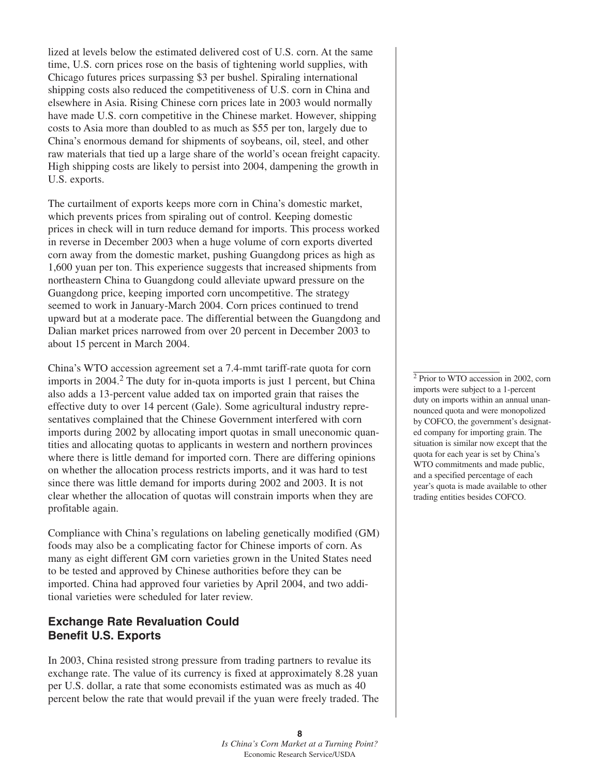lized at levels below the estimated delivered cost of U.S. corn. At the same time, U.S. corn prices rose on the basis of tightening world supplies, with Chicago futures prices surpassing \$3 per bushel. Spiraling international shipping costs also reduced the competitiveness of U.S. corn in China and elsewhere in Asia. Rising Chinese corn prices late in 2003 would normally have made U.S. corn competitive in the Chinese market. However, shipping costs to Asia more than doubled to as much as \$55 per ton, largely due to China's enormous demand for shipments of soybeans, oil, steel, and other raw materials that tied up a large share of the world's ocean freight capacity. High shipping costs are likely to persist into 2004, dampening the growth in U.S. exports.

The curtailment of exports keeps more corn in China's domestic market, which prevents prices from spiraling out of control. Keeping domestic prices in check will in turn reduce demand for imports. This process worked in reverse in December 2003 when a huge volume of corn exports diverted corn away from the domestic market, pushing Guangdong prices as high as 1,600 yuan per ton. This experience suggests that increased shipments from northeastern China to Guangdong could alleviate upward pressure on the Guangdong price, keeping imported corn uncompetitive. The strategy seemed to work in January-March 2004. Corn prices continued to trend upward but at a moderate pace. The differential between the Guangdong and Dalian market prices narrowed from over 20 percent in December 2003 to about 15 percent in March 2004.

China's WTO accession agreement set a 7.4-mmt tariff-rate quota for corn imports in 2004.<sup>2</sup> The duty for in-quota imports is just 1 percent, but China also adds a 13-percent value added tax on imported grain that raises the effective duty to over 14 percent (Gale). Some agricultural industry representatives complained that the Chinese Government interfered with corn imports during 2002 by allocating import quotas in small uneconomic quantities and allocating quotas to applicants in western and northern provinces where there is little demand for imported corn. There are differing opinions on whether the allocation process restricts imports, and it was hard to test since there was little demand for imports during 2002 and 2003. It is not clear whether the allocation of quotas will constrain imports when they are profitable again.

Compliance with China's regulations on labeling genetically modified (GM) foods may also be a complicating factor for Chinese imports of corn. As many as eight different GM corn varieties grown in the United States need to be tested and approved by Chinese authorities before they can be imported. China had approved four varieties by April 2004, and two additional varieties were scheduled for later review.

## **Exchange Rate Revaluation Could Benefit U.S. Exports**

In 2003, China resisted strong pressure from trading partners to revalue its exchange rate. The value of its currency is fixed at approximately 8.28 yuan per U.S. dollar, a rate that some economists estimated was as much as 40 percent below the rate that would prevail if the yuan were freely traded. The

<sup>2</sup> Prior to WTO accession in 2002, corn imports were subject to a 1-percent duty on imports within an annual unannounced quota and were monopolized by COFCO, the government's designated company for importing grain. The situation is similar now except that the quota for each year is set by China's WTO commitments and made public, and a specified percentage of each year's quota is made available to other trading entities besides COFCO.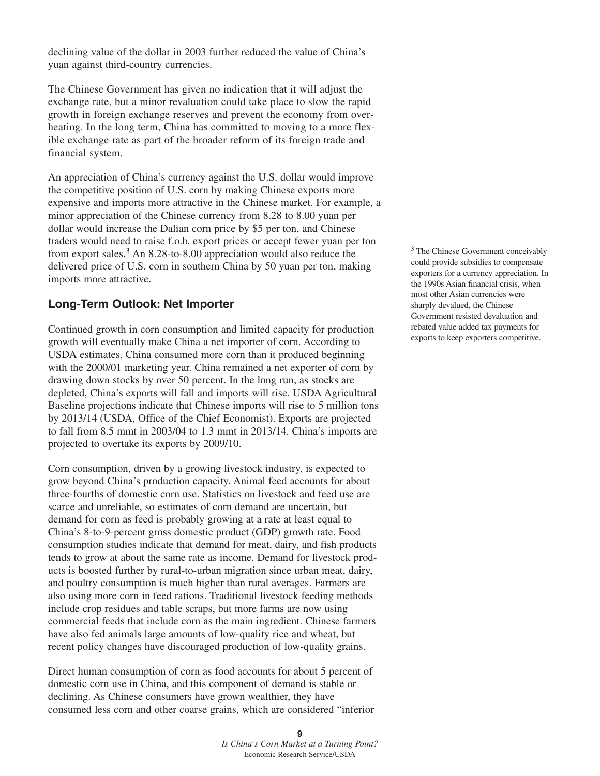declining value of the dollar in 2003 further reduced the value of China's yuan against third-country currencies.

The Chinese Government has given no indication that it will adjust the exchange rate, but a minor revaluation could take place to slow the rapid growth in foreign exchange reserves and prevent the economy from overheating. In the long term, China has committed to moving to a more flexible exchange rate as part of the broader reform of its foreign trade and financial system.

An appreciation of China's currency against the U.S. dollar would improve the competitive position of U.S. corn by making Chinese exports more expensive and imports more attractive in the Chinese market. For example, a minor appreciation of the Chinese currency from 8.28 to 8.00 yuan per dollar would increase the Dalian corn price by \$5 per ton, and Chinese traders would need to raise f.o.b. export prices or accept fewer yuan per ton from export sales.3 An 8.28-to-8.00 appreciation would also reduce the delivered price of U.S. corn in southern China by 50 yuan per ton, making imports more attractive.

### **Long-Term Outlook: Net Importer**

Continued growth in corn consumption and limited capacity for production growth will eventually make China a net importer of corn. According to USDA estimates, China consumed more corn than it produced beginning with the 2000/01 marketing year. China remained a net exporter of corn by drawing down stocks by over 50 percent. In the long run, as stocks are depleted, China's exports will fall and imports will rise. USDA Agricultural Baseline projections indicate that Chinese imports will rise to 5 million tons by 2013/14 (USDA, Office of the Chief Economist). Exports are projected to fall from 8.5 mmt in 2003/04 to 1.3 mmt in 2013/14. China's imports are projected to overtake its exports by 2009/10.

Corn consumption, driven by a growing livestock industry, is expected to grow beyond China's production capacity. Animal feed accounts for about three-fourths of domestic corn use. Statistics on livestock and feed use are scarce and unreliable, so estimates of corn demand are uncertain, but demand for corn as feed is probably growing at a rate at least equal to China's 8-to-9-percent gross domestic product (GDP) growth rate. Food consumption studies indicate that demand for meat, dairy, and fish products tends to grow at about the same rate as income. Demand for livestock products is boosted further by rural-to-urban migration since urban meat, dairy, and poultry consumption is much higher than rural averages. Farmers are also using more corn in feed rations. Traditional livestock feeding methods include crop residues and table scraps, but more farms are now using commercial feeds that include corn as the main ingredient. Chinese farmers have also fed animals large amounts of low-quality rice and wheat, but recent policy changes have discouraged production of low-quality grains.

Direct human consumption of corn as food accounts for about 5 percent of domestic corn use in China, and this component of demand is stable or declining. As Chinese consumers have grown wealthier, they have consumed less corn and other coarse grains, which are considered "inferior <sup>3</sup> The Chinese Government conceivably could provide subsidies to compensate exporters for a currency appreciation. In the 1990s Asian financial crisis, when most other Asian currencies were sharply devalued, the Chinese Government resisted devaluation and rebated value added tax payments for exports to keep exporters competitive.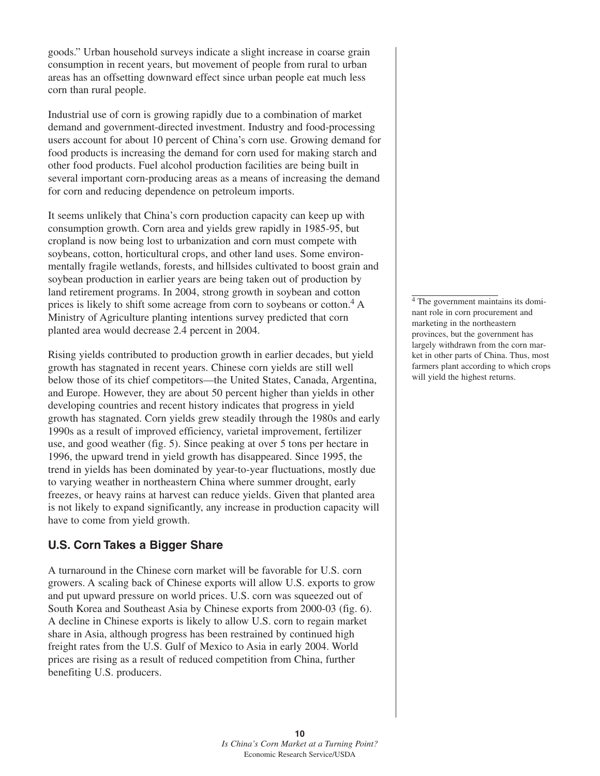goods." Urban household surveys indicate a slight increase in coarse grain consumption in recent years, but movement of people from rural to urban areas has an offsetting downward effect since urban people eat much less corn than rural people.

Industrial use of corn is growing rapidly due to a combination of market demand and government-directed investment. Industry and food-processing users account for about 10 percent of China's corn use. Growing demand for food products is increasing the demand for corn used for making starch and other food products. Fuel alcohol production facilities are being built in several important corn-producing areas as a means of increasing the demand for corn and reducing dependence on petroleum imports.

It seems unlikely that China's corn production capacity can keep up with consumption growth. Corn area and yields grew rapidly in 1985-95, but cropland is now being lost to urbanization and corn must compete with soybeans, cotton, horticultural crops, and other land uses. Some environmentally fragile wetlands, forests, and hillsides cultivated to boost grain and soybean production in earlier years are being taken out of production by land retirement programs. In 2004, strong growth in soybean and cotton prices is likely to shift some acreage from corn to soybeans or cotton.<sup>4</sup> A Ministry of Agriculture planting intentions survey predicted that corn planted area would decrease 2.4 percent in 2004.

Rising yields contributed to production growth in earlier decades, but yield growth has stagnated in recent years. Chinese corn yields are still well below those of its chief competitors—the United States, Canada, Argentina, and Europe. However, they are about 50 percent higher than yields in other developing countries and recent history indicates that progress in yield growth has stagnated. Corn yields grew steadily through the 1980s and early 1990s as a result of improved efficiency, varietal improvement, fertilizer use, and good weather (fig. 5). Since peaking at over 5 tons per hectare in 1996, the upward trend in yield growth has disappeared. Since 1995, the trend in yields has been dominated by year-to-year fluctuations, mostly due to varying weather in northeastern China where summer drought, early freezes, or heavy rains at harvest can reduce yields. Given that planted area is not likely to expand significantly, any increase in production capacity will have to come from yield growth.

## **U.S. Corn Takes a Bigger Share**

A turnaround in the Chinese corn market will be favorable for U.S. corn growers. A scaling back of Chinese exports will allow U.S. exports to grow and put upward pressure on world prices. U.S. corn was squeezed out of South Korea and Southeast Asia by Chinese exports from 2000-03 (fig. 6). A decline in Chinese exports is likely to allow U.S. corn to regain market share in Asia, although progress has been restrained by continued high freight rates from the U.S. Gulf of Mexico to Asia in early 2004. World prices are rising as a result of reduced competition from China, further benefiting U.S. producers.

 $\overline{4}$  The government maintains its dominant role in corn procurement and marketing in the northeastern provinces, but the government has largely withdrawn from the corn market in other parts of China. Thus, most farmers plant according to which crops will yield the highest returns.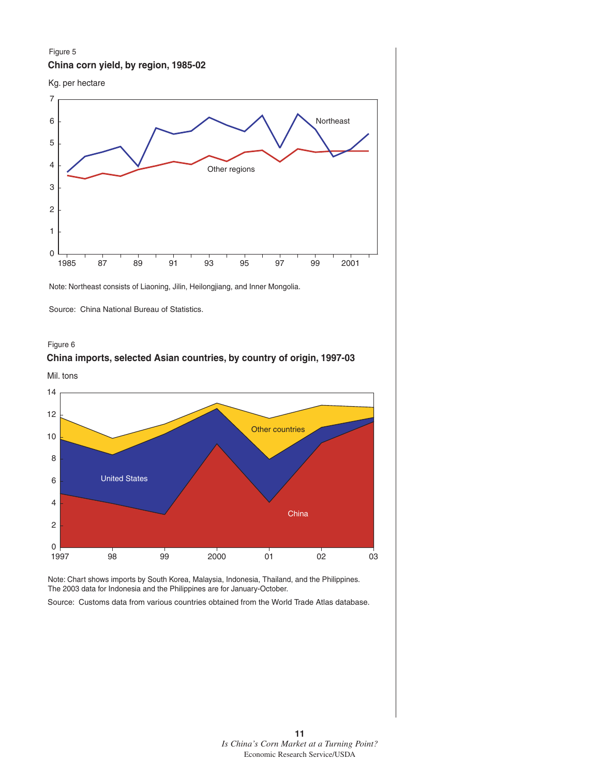#### Figure 5 **China corn yield, by region, 1985-02**





Note: Northeast consists of Liaoning, Jilin, Heilongjiang, and Inner Mongolia.

Source: China National Bureau of Statistics.



## **China imports, selected Asian countries, by country of origin, 1997-03**

Mil. tons



Note: Chart shows imports by South Korea, Malaysia, Indonesia, Thailand, and the Philippines. The 2003 data for Indonesia and the Philippines are for January-October.

Source: Customs data from various countries obtained from the World Trade Atlas database.

**11** *Is China's Corn Market at a Turning Point?* Economic Research Service/USDA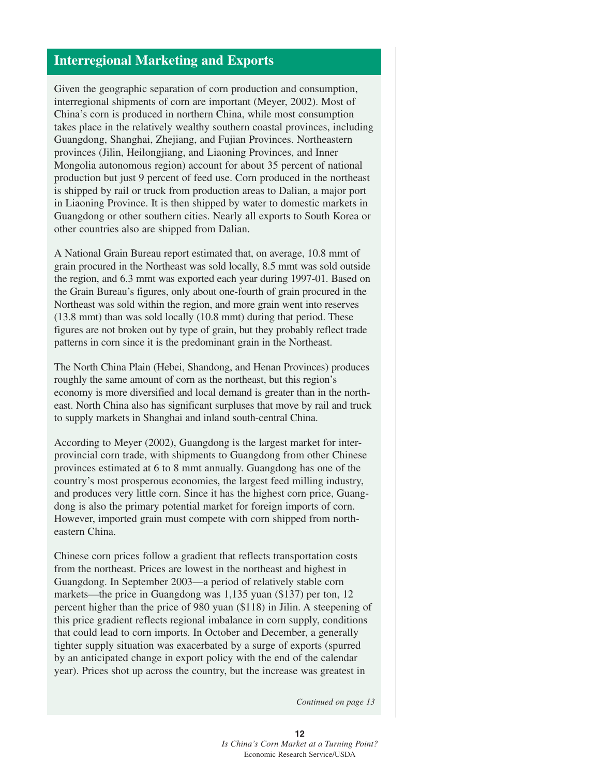## **Interregional Marketing and Exports**

Given the geographic separation of corn production and consumption, interregional shipments of corn are important (Meyer, 2002). Most of China's corn is produced in northern China, while most consumption takes place in the relatively wealthy southern coastal provinces, including Guangdong, Shanghai, Zhejiang, and Fujian Provinces. Northeastern provinces (Jilin, Heilongjiang, and Liaoning Provinces, and Inner Mongolia autonomous region) account for about 35 percent of national production but just 9 percent of feed use. Corn produced in the northeast is shipped by rail or truck from production areas to Dalian, a major port in Liaoning Province. It is then shipped by water to domestic markets in Guangdong or other southern cities. Nearly all exports to South Korea or other countries also are shipped from Dalian.

A National Grain Bureau report estimated that, on average, 10.8 mmt of grain procured in the Northeast was sold locally, 8.5 mmt was sold outside the region, and 6.3 mmt was exported each year during 1997-01. Based on the Grain Bureau's figures, only about one-fourth of grain procured in the Northeast was sold within the region, and more grain went into reserves (13.8 mmt) than was sold locally (10.8 mmt) during that period. These figures are not broken out by type of grain, but they probably reflect trade patterns in corn since it is the predominant grain in the Northeast.

The North China Plain (Hebei, Shandong, and Henan Provinces) produces roughly the same amount of corn as the northeast, but this region's economy is more diversified and local demand is greater than in the northeast. North China also has significant surpluses that move by rail and truck to supply markets in Shanghai and inland south-central China.

According to Meyer (2002), Guangdong is the largest market for interprovincial corn trade, with shipments to Guangdong from other Chinese provinces estimated at 6 to 8 mmt annually. Guangdong has one of the country's most prosperous economies, the largest feed milling industry, and produces very little corn. Since it has the highest corn price, Guangdong is also the primary potential market for foreign imports of corn. However, imported grain must compete with corn shipped from northeastern China.

Chinese corn prices follow a gradient that reflects transportation costs from the northeast. Prices are lowest in the northeast and highest in Guangdong. In September 2003—a period of relatively stable corn markets—the price in Guangdong was 1,135 yuan (\$137) per ton, 12 percent higher than the price of 980 yuan (\$118) in Jilin. A steepening of this price gradient reflects regional imbalance in corn supply, conditions that could lead to corn imports. In October and December, a generally tighter supply situation was exacerbated by a surge of exports (spurred by an anticipated change in export policy with the end of the calendar year). Prices shot up across the country, but the increase was greatest in

*Continued on page 13*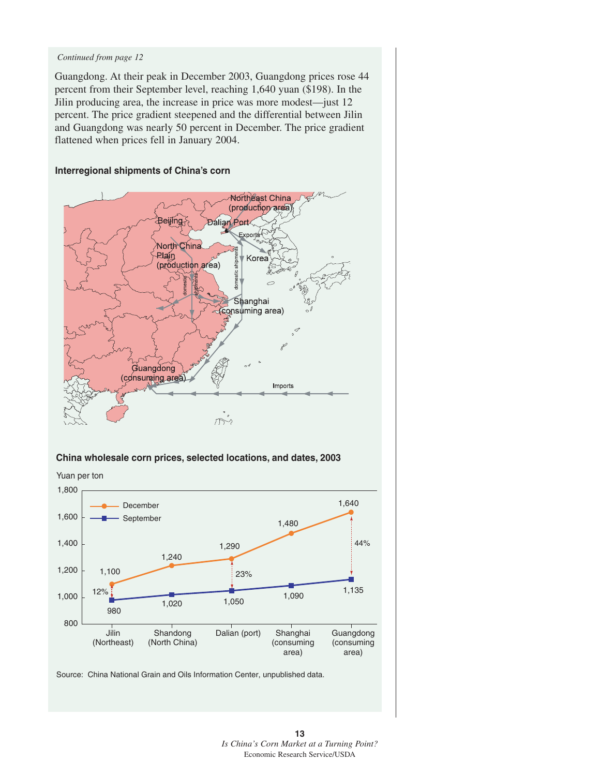#### *Continued from page 12*

Guangdong. At their peak in December 2003, Guangdong prices rose 44 percent from their September level, reaching 1,640 yuan (\$198). In the Jilin producing area, the increase in price was more modest—just 12 percent. The price gradient steepened and the differential between Jilin and Guangdong was nearly 50 percent in December. The price gradient flattened when prices fell in January 2004.

#### **Interregional shipments of China's corn**



#### **China wholesale corn prices, selected locations, and dates, 2003**



Source: China National Grain and Oils Information Center, unpublished data.

**13** *Is China's Corn Market at a Turning Point?* Economic Research Service/USDA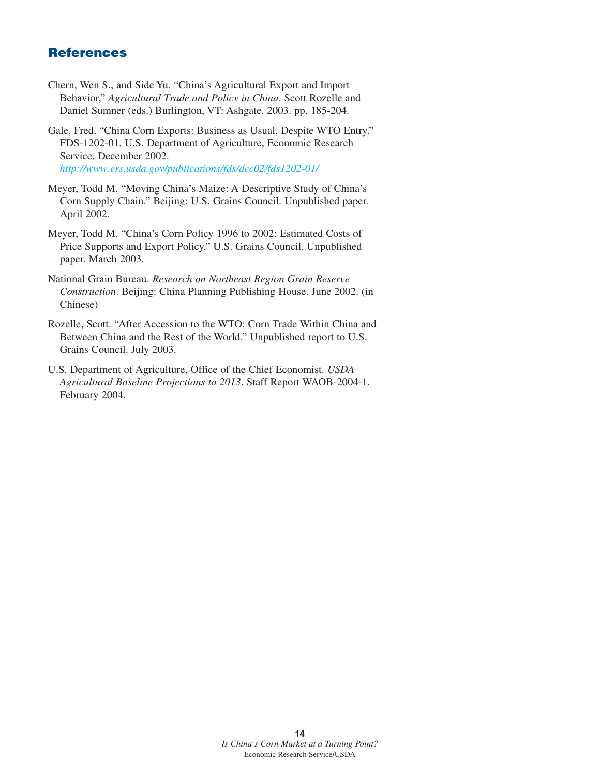## **References**

- Chern, Wen S., and Side Yu. "China's Agricultural Export and Import Behavior," *Agricultural Trade and Policy in China*. Scott Rozelle and Daniel Sumner (eds.) Burlington, VT: Ashgate. 2003. pp. 185-204.
- Gale, Fred. "China Corn Exports: Business as Usual, Despite WTO Entry." FDS-1202-01. U.S. Department of Agriculture, Economic Research Service. December 2002. *<http://www.ers.usda.gov/publications/fds/dec02/fds1202-01/>*
- Meyer, Todd M. "Moving China's Maize: A Descriptive Study of China's Corn Supply Chain." Beijing: U.S. Grains Council. Unpublished paper. April 2002.
- Meyer, Todd M. "China's Corn Policy 1996 to 2002: Estimated Costs of Price Supports and Export Policy." U.S. Grains Council. Unpublished paper. March 2003.
- National Grain Bureau. *Research on Northeast Region Grain Reserve Construction*. Beijing: China Planning Publishing House. June 2002. (in Chinese)
- Rozelle, Scott. "After Accession to the WTO: Corn Trade Within China and Between China and the Rest of the World." Unpublished report to U.S. Grains Council. July 2003.
- U.S. Department of Agriculture, Office of the Chief Economist. *USDA Agricultural Baseline Projections to 2013*. Staff Report WAOB-2004-1. February 2004.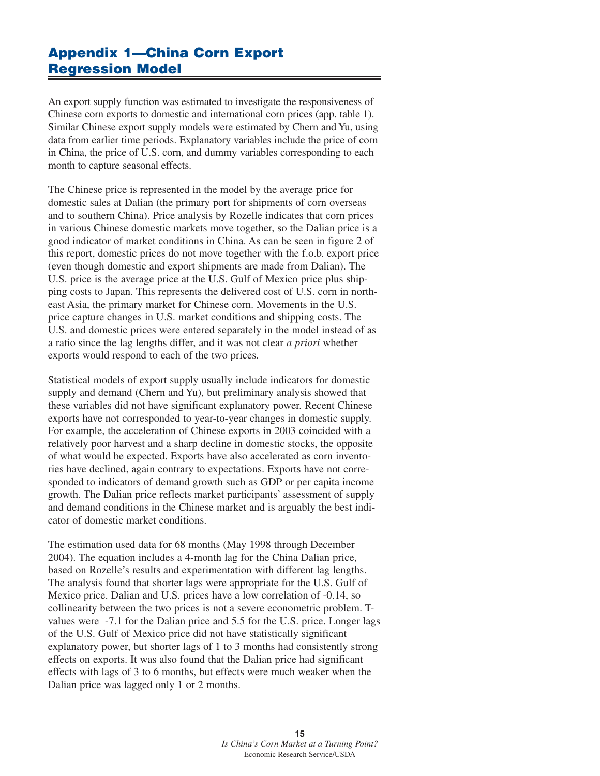## **Appendix 1—China Corn Export Regression Model**

An export supply function was estimated to investigate the responsiveness of Chinese corn exports to domestic and international corn prices (app. table 1). Similar Chinese export supply models were estimated by Chern and Yu, using data from earlier time periods. Explanatory variables include the price of corn in China, the price of U.S. corn, and dummy variables corresponding to each month to capture seasonal effects.

The Chinese price is represented in the model by the average price for domestic sales at Dalian (the primary port for shipments of corn overseas and to southern China). Price analysis by Rozelle indicates that corn prices in various Chinese domestic markets move together, so the Dalian price is a good indicator of market conditions in China. As can be seen in figure 2 of this report, domestic prices do not move together with the f.o.b. export price (even though domestic and export shipments are made from Dalian). The U.S. price is the average price at the U.S. Gulf of Mexico price plus shipping costs to Japan. This represents the delivered cost of U.S. corn in northeast Asia, the primary market for Chinese corn. Movements in the U.S. price capture changes in U.S. market conditions and shipping costs. The U.S. and domestic prices were entered separately in the model instead of as a ratio since the lag lengths differ, and it was not clear *a priori* whether exports would respond to each of the two prices.

Statistical models of export supply usually include indicators for domestic supply and demand (Chern and Yu), but preliminary analysis showed that these variables did not have significant explanatory power. Recent Chinese exports have not corresponded to year-to-year changes in domestic supply. For example, the acceleration of Chinese exports in 2003 coincided with a relatively poor harvest and a sharp decline in domestic stocks, the opposite of what would be expected. Exports have also accelerated as corn inventories have declined, again contrary to expectations. Exports have not corresponded to indicators of demand growth such as GDP or per capita income growth. The Dalian price reflects market participants' assessment of supply and demand conditions in the Chinese market and is arguably the best indicator of domestic market conditions.

The estimation used data for 68 months (May 1998 through December 2004). The equation includes a 4-month lag for the China Dalian price, based on Rozelle's results and experimentation with different lag lengths. The analysis found that shorter lags were appropriate for the U.S. Gulf of Mexico price. Dalian and U.S. prices have a low correlation of -0.14, so collinearity between the two prices is not a severe econometric problem. Tvalues were -7.1 for the Dalian price and 5.5 for the U.S. price. Longer lags of the U.S. Gulf of Mexico price did not have statistically significant explanatory power, but shorter lags of 1 to 3 months had consistently strong effects on exports. It was also found that the Dalian price had significant effects with lags of 3 to 6 months, but effects were much weaker when the Dalian price was lagged only 1 or 2 months.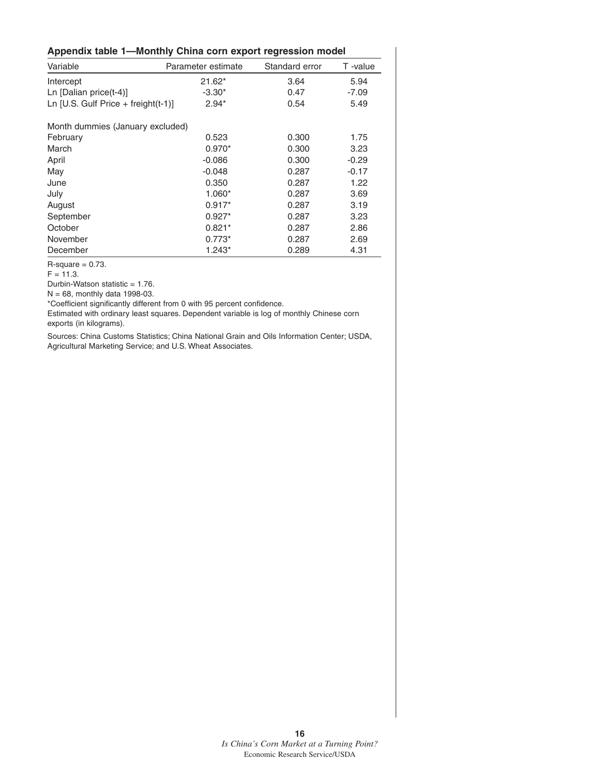| Appendix table 1—Monthly China corn export regression model |                    |                |         |  |  |  |  |  |
|-------------------------------------------------------------|--------------------|----------------|---------|--|--|--|--|--|
| Variable                                                    | Parameter estimate | Standard error | T-value |  |  |  |  |  |
| Intercept                                                   | $21.62*$           | 3.64           | 5.94    |  |  |  |  |  |
| Ln [Dalian price $(t-4)$ ]                                  | $-3.30*$           | 0.47           | $-7.09$ |  |  |  |  |  |
| Ln [U.S. Gulf Price + freight $(t-1)$ ]                     | $2.94*$            | 0.54           | 5.49    |  |  |  |  |  |
| Month dummies (January excluded)                            |                    |                |         |  |  |  |  |  |
| February                                                    | 0.523              | 0.300          | 1.75    |  |  |  |  |  |
| March                                                       | $0.970*$           | 0.300          | 3.23    |  |  |  |  |  |
| April                                                       | $-0.086$           | 0.300          | $-0.29$ |  |  |  |  |  |
| May                                                         | $-0.048$           | 0.287          | $-0.17$ |  |  |  |  |  |
| June                                                        | 0.350              | 0.287          | 1.22    |  |  |  |  |  |
| July                                                        | $1.060*$           | 0.287          | 3.69    |  |  |  |  |  |
| August                                                      | $0.917*$           | 0.287          | 3.19    |  |  |  |  |  |
| September                                                   | $0.927*$           | 0.287          | 3.23    |  |  |  |  |  |
| October                                                     | $0.821*$           | 0.287          | 2.86    |  |  |  |  |  |
| November                                                    | $0.773*$           | 0.287          | 2.69    |  |  |  |  |  |
| December                                                    | $1.243*$           | 0.289          | 4.31    |  |  |  |  |  |

 $R$ -square = 0.73.

 $F = 11.3.$ 

Durbin-Watson statistic = 1.76.

 $N = 68$ , monthly data 1998-03.

\*Coefficient significantly different from 0 with 95 percent confidence.

Estimated with ordinary least squares. Dependent variable is log of monthly Chinese corn exports (in kilograms).

Sources: China Customs Statistics; China National Grain and Oils Information Center; USDA, Agricultural Marketing Service; and U.S. Wheat Associates.

> **16** *Is China's Corn Market at a Turning Point?* Economic Research Service/USDA